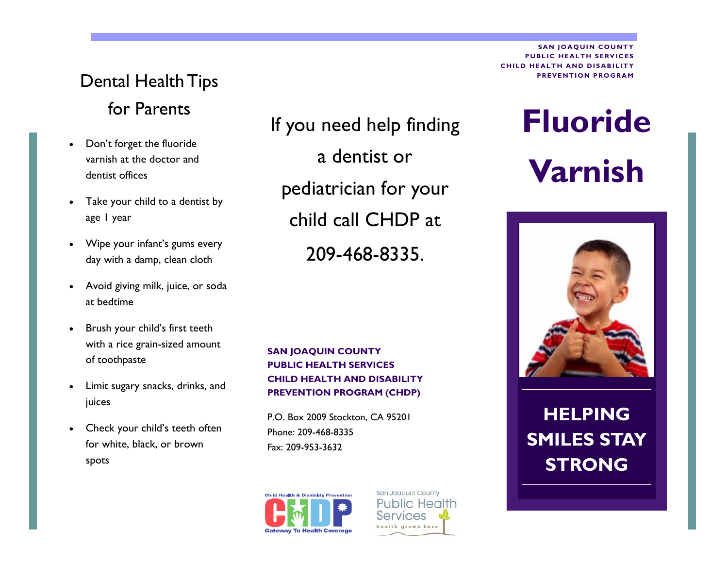### Dental Health Tips for Parents

- Don't forget the fluoride varnish at the doctor and dentist offices
- Take your child to a dentist by age 1 year
- Wipe your infant's gums every day with a damp, clean cloth
- Avoid giving milk, juice, or soda at bedtime
- Brush your child's first teeth with a rice grain-sized amount of toothpaste
- Limit sugary snacks, drinks, and juices
- Check your child's teeth often for white, black, or brown spots

If you need help finding a dentist or pediatrician for your child call CHDP at 209-468-8335.

#### **SAN JOAQUIN COUNTY PUBLIC HEALTH SERVICES CHILD HEALTH AND DISABILITY PREVENTION PROGRAM (CHDP)**

P.O. Box 2009 Stockton, CA 95201 Phone: 209-468-8335 Fax: 209-953-3632



San Joaquin County **Public Health** Services ealth grows here

**SAN JOAQUIN COUNTY PUBLIC HEALTH SERVICES CHILD HEALTH AND DISABILITY PREVENTION PROGRAM** 

# **Fluoride Varnish**



## **HELPING SMILES STAY STRONG**